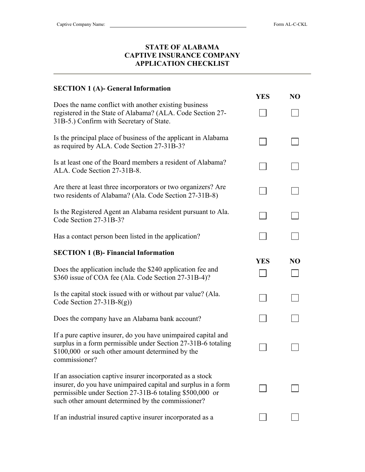## **STATE OF ALABAMA CAPTIVE INSURANCE COMPANY APPLICATION CHECKLIST**

| <b>SECTION 1 (A)- General Information</b>                                                                                                                                                                                                   |            |                |
|---------------------------------------------------------------------------------------------------------------------------------------------------------------------------------------------------------------------------------------------|------------|----------------|
|                                                                                                                                                                                                                                             | <b>YES</b> | NO             |
| Does the name conflict with another existing business<br>registered in the State of Alabama? (ALA. Code Section 27-<br>31B-5.) Confirm with Secretary of State.                                                                             |            |                |
| Is the principal place of business of the applicant in Alabama<br>as required by ALA. Code Section 27-31B-3?                                                                                                                                |            |                |
| Is at least one of the Board members a resident of Alabama?<br>ALA. Code Section 27-31B-8.                                                                                                                                                  |            |                |
| Are there at least three incorporators or two organizers? Are<br>two residents of Alabama? (Ala. Code Section 27-31B-8)                                                                                                                     |            |                |
| Is the Registered Agent an Alabama resident pursuant to Ala.<br>Code Section 27-31B-3?                                                                                                                                                      |            |                |
| Has a contact person been listed in the application?                                                                                                                                                                                        |            |                |
| <b>SECTION 1 (B)- Financial Information</b>                                                                                                                                                                                                 |            |                |
| Does the application include the \$240 application fee and<br>\$360 issue of COA fee (Ala. Code Section 27-31B-4)?                                                                                                                          | <b>YES</b> | N <sub>O</sub> |
| Is the capital stock issued with or without par value? (Ala.<br>Code Section $27-31B-8(g)$ )                                                                                                                                                |            |                |
| Does the company have an Alabama bank account?                                                                                                                                                                                              |            |                |
| If a pure captive insurer, do you have unimpaired capital and<br>surplus in a form permissible under Section 27-31B-6 totaling<br>\$100,000 or such other amount determined by the<br>commissioner?                                         |            |                |
| If an association captive insurer incorporated as a stock<br>insurer, do you have unimpaired capital and surplus in a form<br>permissible under Section 27-31B-6 totaling \$500,000 or<br>such other amount determined by the commissioner? |            |                |
| If an industrial insured captive insurer incorporated as a                                                                                                                                                                                  |            |                |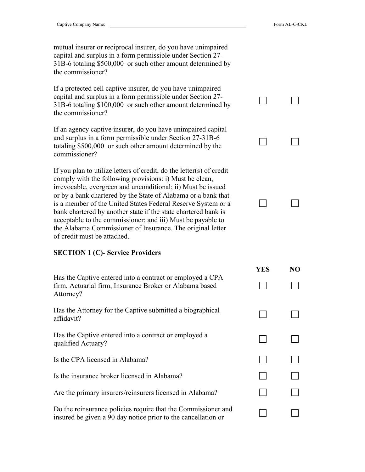$\Box$ 

 $\Box$ 

 $\Box$ 

 $\Box$ 

 $\Box$ 

 $\Box$ 

 $\vert \ \ \vert$ 

 $\Box$ 

 **YES NO** 

▔▎

mutual insurer or reciprocal insurer, do you have unimpaired capital and surplus in a form permissible under Section 27- 31B-6 totaling \$500,000 or such other amount determined by the commissioner?

If a protected cell captive insurer, do you have unimpaired capital and surplus in a form permissible under Section 27- 31B-6 totaling \$100,000 or such other amount determined by the commissioner?

If an agency captive insurer, do you have unimpaired capital and surplus in a form permissible under Section 27-31B-6 totaling \$500,000 or such other amount determined by the commissioner?

If you plan to utilize letters of credit, do the letter(s) of credit comply with the following provisions: i) Must be clean, irrevocable, evergreen and unconditional; ii) Must be issued or by a bank chartered by the State of Alabama or a bank that is a member of the United States Federal Reserve System or a bank chartered by another state if the state chartered bank is acceptable to the commissioner; and iii) Must be payable to the Alabama Commissioner of Insurance. The original letter of credit must be attached.

## **SECTION 1 (C)- Service Providers**

| Has the Captive entered into a contract or employed a CPA |
|-----------------------------------------------------------|
| firm, Actuarial firm, Insurance Broker or Alabama based   |
| Attorney?                                                 |

Has the Attorney for the Captive submitted a biographical affidavit?

Has the Captive entered into a contract or employed a qualified Actuary?

Is the CPA licensed in Alabama?

Is the insurance broker licensed in Alabama?

Are the primary insurers/reinsurers licensed in Alabama?

Do the reinsurance policies require that the Commissioner and insured be given a 90 day notice prior to the cancellation or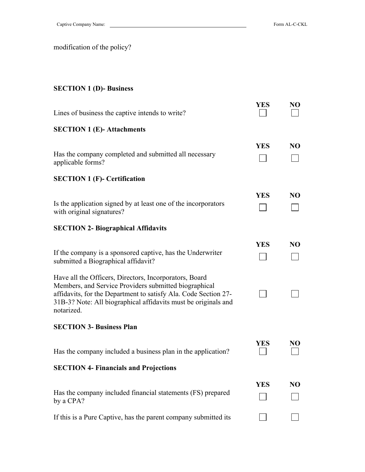modification of the policy?

## **SECTION 1 (D)- Business**

| Lines of business the captive intends to write?                                                                                                                                                                                                                    | <b>YES</b> | NO             |
|--------------------------------------------------------------------------------------------------------------------------------------------------------------------------------------------------------------------------------------------------------------------|------------|----------------|
| <b>SECTION 1 (E)-Attachments</b>                                                                                                                                                                                                                                   |            |                |
| Has the company completed and submitted all necessary<br>applicable forms?                                                                                                                                                                                         | <b>YES</b> | N <sub>O</sub> |
| <b>SECTION 1 (F)- Certification</b>                                                                                                                                                                                                                                |            |                |
| Is the application signed by at least one of the incorporators<br>with original signatures?                                                                                                                                                                        | <b>YES</b> | N <sub>O</sub> |
| <b>SECTION 2- Biographical Affidavits</b>                                                                                                                                                                                                                          |            |                |
| If the company is a sponsored captive, has the Underwriter<br>submitted a Biographical affidavit?                                                                                                                                                                  | <b>YES</b> | N <sub>O</sub> |
| Have all the Officers, Directors, Incorporators, Board<br>Members, and Service Providers submitted biographical<br>affidavits, for the Department to satisfy Ala. Code Section 27-<br>31B-3? Note: All biographical affidavits must be originals and<br>notarized. |            |                |
| <b>SECTION 3- Business Plan</b>                                                                                                                                                                                                                                    |            |                |
| Has the company included a business plan in the application?                                                                                                                                                                                                       | YES        | NO             |
| <b>SECTION 4- Financials and Projections</b>                                                                                                                                                                                                                       |            |                |
| Has the company included financial statements (FS) prepared<br>by a CPA?                                                                                                                                                                                           | <b>YES</b> | NO             |
| If this is a Pure Captive, has the parent company submitted its                                                                                                                                                                                                    |            |                |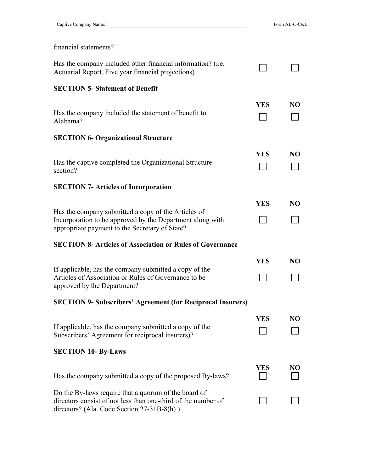$\Box$ 

 $\Box$ 

| financial statements?                                                                                                                                              |            |                |
|--------------------------------------------------------------------------------------------------------------------------------------------------------------------|------------|----------------|
| Has the company included other financial information? (i.e.<br>Actuarial Report, Five year financial projections)                                                  |            |                |
| <b>SECTION 5- Statement of Benefit</b>                                                                                                                             |            |                |
| Has the company included the statement of benefit to<br>Alabama?                                                                                                   | YES        | N <sub>O</sub> |
| <b>SECTION 6- Organizational Structure</b>                                                                                                                         |            |                |
| Has the captive completed the Organizational Structure<br>section?                                                                                                 | <b>YES</b> | NO             |
| <b>SECTION 7- Articles of Incorporation</b>                                                                                                                        |            |                |
| Has the company submitted a copy of the Articles of<br>Incorporation to be approved by the Department along with<br>appropriate payment to the Secretary of State? | <b>YES</b> | NO             |
|                                                                                                                                                                    |            |                |
| <b>SECTION 8- Articles of Association or Rules of Governance</b>                                                                                                   |            |                |
| If applicable, has the company submitted a copy of the<br>Articles of Association or Rules of Governance to be<br>approved by the Department?                      | <b>YES</b> | NO             |
| <b>SECTION 9- Subscribers' Agreement (for Reciprocal Insurers)</b>                                                                                                 |            |                |
| If applicable, has the company submitted a copy of the<br>Subscribers' Agreement for reciprocal insurers)?<br><b>SECTION 10- By-Laws</b>                           | <b>YES</b> | N <sub>O</sub> |
| Has the company submitted a copy of the proposed By-laws?                                                                                                          | <b>YES</b> | NO             |
| Do the By-laws require that a quorum of the board of                                                                                                               |            |                |

directors consist of not less than one-third of the number of

directors? (Ala. Code Section 27-31B-8(h) )